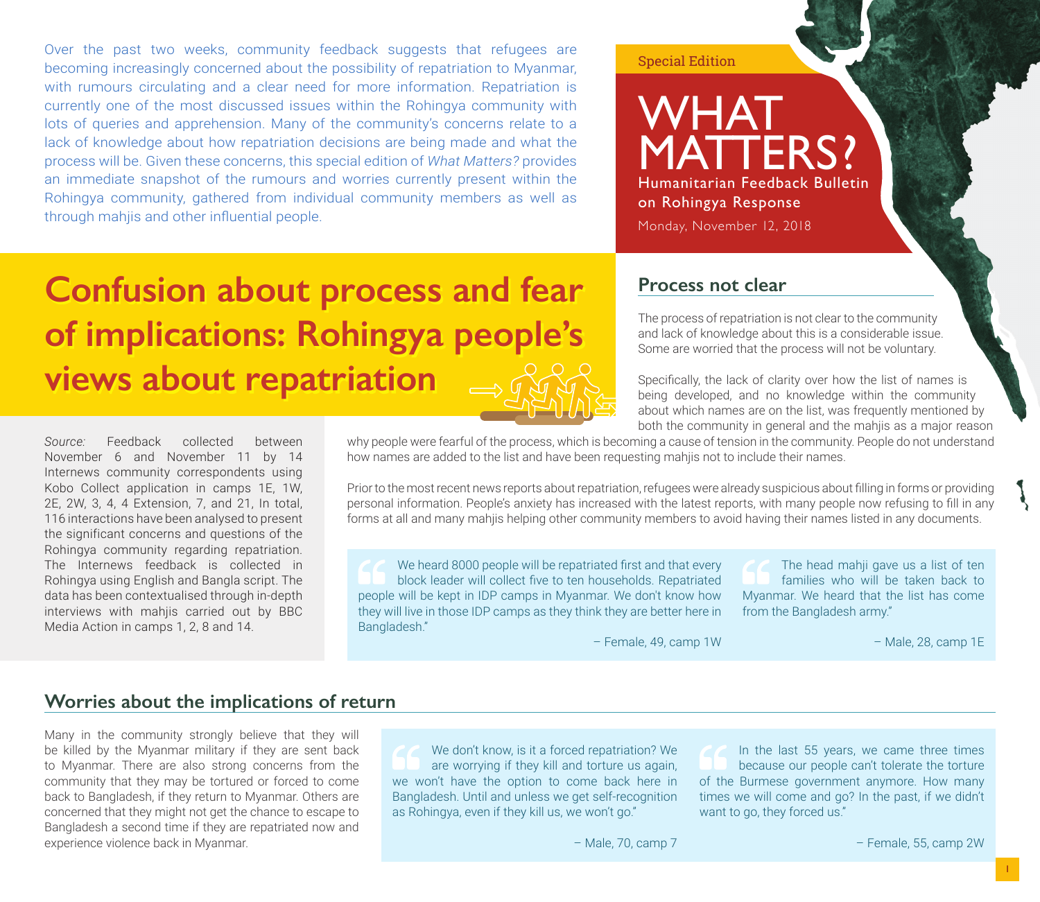Over the past two weeks, community feedback suggests that refugees are becoming increasingly concerned about the possibility of repatriation to Myanmar, with rumours circulating and a clear need for more information. Repatriation is currently one of the most discussed issues within the Rohingya community with lots of queries and apprehension. Many of the community's concerns relate to a lack of knowledge about how repatriation decisions are being made and what the process will be. Given these concerns, this special edition of *What Matters?* provides an immediate snapshot of the rumours and worries currently present within the Rohingya community, gathered from individual community members as well as through mahjis and other influential people.

# Special Edition

# **WHAT** MATTERS? Humanitarian Feedback Bulletin on Rohingya Response Monday, November 12, 2018

The process of repatriation is not clear to the community and lack of knowledge about this is a considerable issue. Some are worried that the process will not be voluntary.

Specifically, the lack of clarity over how the list of names is being developed, and no knowledge within the community about which names are on the list, was frequently mentioned by both the community in general and the mahjis as a major reason

**Process not clear**

# **Confusion about process and fear of implications: Rohingya people's views about repatriation**

*Source:* Feedback collected between November 6 and November 11 by 14 Internews community correspondents using Kobo Collect application in camps 1E, 1W, 2E, 2W, 3, 4, 4 Extension, 7, and 21, In total, 116 interactions have been analysed to present the significant concerns and questions of the Rohingya community regarding repatriation. The Internews feedback is collected in Rohingya using English and Bangla script. The data has been contextualised through in-depth interviews with mahjis carried out by BBC Media Action in camps 1, 2, 8 and 14.

why people were fearful of the process, which is becoming a cause of tension in the community. People do not understand how names are added to the list and have been requesting mahjis not to include their names.

Prior to the most recent news reports about repatriation, refugees were already suspicious about filling in forms or providing personal information. People's anxiety has increased with the latest reports, with many people now refusing to fill in any forms at all and many mahjis helping other community members to avoid having their names listed in any documents.

We heard 8000 people will be repatriated first and that every block leader will collect five to ten households. Repatriated people will be kept in IDP camps in Myanmar. We don't know how they will live in those IDP camps as they think they are better here in Bangladesh."

The head mahji gave us a list of ten families who will be taken back to Myanmar. We heard that the list has come from the Bangladesh army."

– Female, 49, camp 1W

– Male, 28, camp 1E

# **Worries about the implications of return**

Many in the community strongly believe that they will be killed by the Myanmar military if they are sent back to Myanmar. There are also strong concerns from the community that they may be tortured or forced to come back to Bangladesh, if they return to Myanmar. Others are concerned that they might not get the chance to escape to Bangladesh a second time if they are repatriated now and experience violence back in Myanmar.

We don't know, is it a forced repatriation? We are worrying if they kill and torture us again, we won't have the option to come back here in Bangladesh. Until and unless we get self-recognition as Rohingya, even if they kill us, we won't go."

In the last 55 years, we came three times because our people can't tolerate the torture of the Burmese government anymore. How many times we will come and go? In the past, if we didn't want to go, they forced us."

– Male, 70, camp 7

– Female, 55, camp 2W